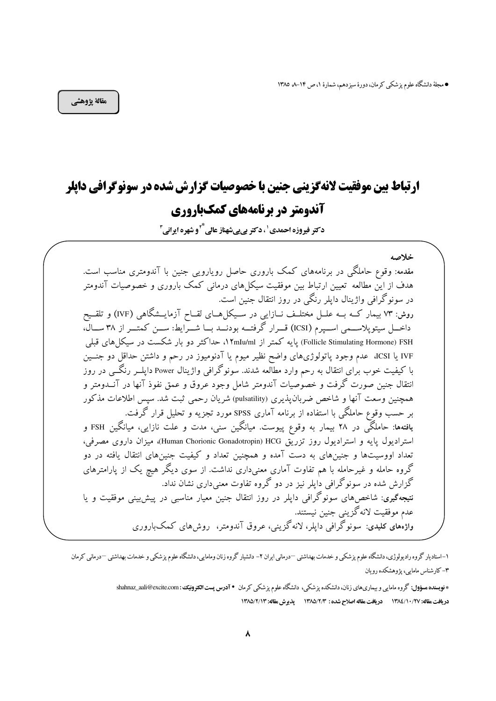● مجلهٔ دانشگاه علوم پزشکی کرمان، دورهٔ سیزدهم، شمارهٔ ۱، ص ۱۴–۸ ۱۳۸۵

خلاصه

مقالة پژوهشي

# **ارتباط بین موفقیت لانهگزینی جنین با خصوصیات گزارش شده در سونوگرافی دایلر** آندومتر در برنامههای کمکباروری

دکتر فیروزہ احمدی ' ، دکتر ہے بے شهناز عالی علی او شهرہ ایرانی آ

مقدمه: وقوع حاملگی در برنامههای کمک باروری حاصل رویارویی جنین با آندومتری مناسب است. هدف از این مطالعه تعیین ارتباط بین موفقیت سیکل۱های درمانی کمک باروری و خصوصیات آندومتر در سونوگرافی واژینال دایلر رنگی در روز انتقال جنین است. روش: ۷۳ بیمار کــه بــه علــل مختلــف نــازایی در ســیکل هــای لقــاح آزمایــشگاهی (IVF) و تلقــیح داخــل سیتوپلاســمی اســپرم (ICSI) قــرار گرفتـــه بودنـــد بـــا شـــرایط: ســـن کمتـــر از ۳۸ ســـال، Follicle Stimulating Hormone) FSH) یایه کمتر از ۱۲mIu/ml، حداکثر دو بار شکست در سیکل های قبلی IVF یا ICSI، عدم وجود یاتولوژیهای واضح نظیر میوم یا آدنومیوز در رحم و داشتن حداقل دو جنسین با کیفیت خوب برای انتقال به رحم وارد مطالعه شدند. سونوگرافی واژینال Power دایلـــر رنگـــی در روز انتقال جنین صورت گرفت و خصوصیات آندومتر شامل وجود عروق و عمق نفوذ آنها در آنــدومتر و همچنین وسعت آنها و شاخص ضربان یذیری (pulsatility) شریان رحمی ثبت شد. سیس اطلاعات مذکور بر حسب وقوع حاملگی با استفاده از برنامه آماری SPSS مورد تجزیه و تحلیل قرار گرفت. یافتهها: حاملگی در ۲۸ بیمار به وقوع پیوست. میانگین سنی، مدت و علت نازایی، میانگین FSH و استرادیول پایه و استرادیول روز تزریق Human Chorionic Gonadotropin) HCG)، میزان داروی مصرفی، تعداد اووسیتها و جنینهای به دست آمده و همچنین تعداد و کیفیت جنینهای انتقال یافته در دو گروه حامله و غیرحامله با هم تفاوت آماری معنیداری نداشت. از سوی دیگر هیچ یک از پارامترهای گزارش شده در سونوگرافی دایلر نیز در دو گروه تفاوت معنی داری نشان نداد. نتیجهگیری: شاخصهای سونوگرافی داپلر در روز انتقال جنین معیار مناسبی در پیشبینی موفقیت و یا عدم موفقیت لانه گزینی جنین نیستند. واژهٰهای کلیدی: سونوگرافی دایلر، لانهگزینی، عروق آندومتر، روش۵های کمکباروری

۱–استادیار گروه رادیولوژی، دانشگاه علوم پزشکی و خدمات بهداشتی —درمانی ایران ۲– دانشیار گروه زنان ومامایی، دانشگاه علوم پزشکی و خدمات بهداشتی —درمانی کرمان ۴– کار شناس مامایی، یژوهشکده رو بان

> \* فویسنده مسؤول: گروه مامایی و بیماریهای زنان، دانشکده یزشکی، دانشگاه علوم یزشکی کرمان • آ**درس پست التترونیک**: shahnaz\_aali@excite.com دريافت مقاله: ١٣٨٤/١٠/٢٧ دريافت مقاله اصلاح شده : ١٣٨٥/٢/٣ ديدير ش مقاله: ١٣٨٥/٢/١٣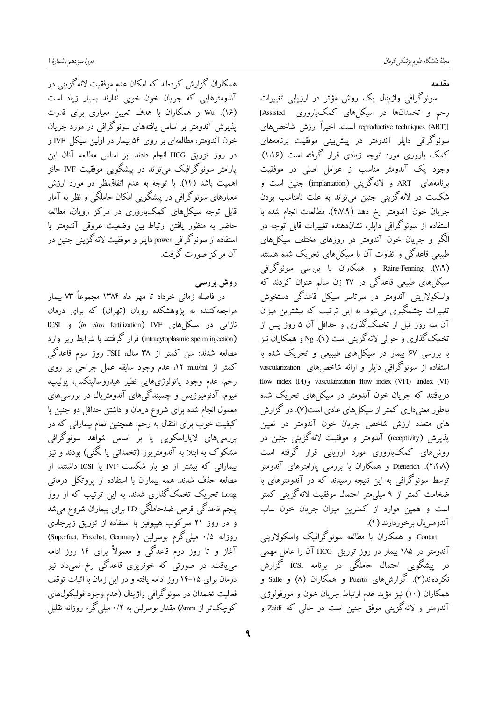همکاران گزارش کردهاند که امکان عدم موفقیت لانه گزینی در آندومترهایی که جریان خون خوبی ندارند بسیار زیاد است (۱۶). Wu و همکاران با هدف تعیین معیاری برای قدرت پذیرش آندومتر بر اساس یافتههای سونوگرافی در مورد جریان خون آندومتر، مطالعهای بر روی ۵۴ بیمار در اولین سیکل IVF و در روز تزریق HCG انجام دادند. بر اساس مطالعه آنان این یارامتر سونوگرافیک می تواند در پیشگو یی موفقیت IVF حائز اهمیت باشد (۱۴). با توجه به عدم اتفاق نظر در مورد ارزش معبارهای سونوگرافی در پیشگویی امکان حاملگی و نظر به آمار .<br>قابل توجه سیکلهای کمکباروری در مرکز رویان، مطالعه حاضر به منظور يافتن ارتباط بين وضعيت عروقي آندومتر با استفاده از سونوگرافی power داپلر و موفقیت لانهگزینی جنین در آن مرکز صورت گرفت.

## روش بررسی

در فاصله زمانی خرداد تا مهر ماه ۱۳۸۴ مجموعاً ۷۳ بیمار مراجعه کننده به پژوهشکده رویان (تهران) که برای درمان نازایی در سیکلهای ICSI) (*in vitro* fertilization) IVF و ICSI (intracytoplasmic sperm injection) قرار گرفتند با شرایط زیر وارد مطالعه شدند: سن کمتر از ۳۸ سال، FSH روز سوم قاعدگی کمتر از nIu/ml ۱۲ عدم وجود سابقه عمل جراحی بر روی رحم، عدم وجود ياتولوژيهايي نظير هيدروسالينكس، يوليپ، میوم، آدنومیوزیس و چسبندگی های آندومتریال در بررسی های معمول انجام شده برای شروع درمان و داشتن حداقل دو جنین با کیفیت خوب برای انتقال به رحم. همچنین تمام بیمارانی که در بررسی،های لایاراسکویی یا بر اساس شواهد سونوگرافی مشکوک به ابتلا به آندومتریوز (تخمدانی یا لگنی) بودند و نیز بیمارانی که بیشتر از دو بار شکست IVF یا ICSI داشتند، از مطالعه حذف شدند. همه بیماران با استفاده از پروتکل درمانی Long تحریک تخمکگذاری شدند. به این ترتیب که از روز پنجم قاعدگی قرص ضدحاملگی LD برای بیماران شروع میشد و در روز ۲۱ سرکوب هیپوفیز با استفاده از تزریق زیرجلدی روزانه ۰/۵ میلی گرم بوسرلین (Superfact, Hoechst, Germany) آغاز و تا روز دوم قاعدگی و معمولاً برای ۱۴ روز ادامه م<sub>ی </sub>یافت. در صورت<sub>ی</sub>ٰ که خونریزی قاعدگی رخ نمی**داد ن**یز درمان برای ۱۵–۱۴ روز ادامه یافته و در این زمان با اثبات توقف فعالیت تخمدان در سونوگرافی واژینال (عدم وجود فولیکولهای کوچکتر از ۸mm) مقدار بوسرلین به ۰/۲ میلی گرم روزانه تقلیل

٩

مقدمه

سونوگرافی واژینال یک روش مؤثر در ارزیابی تغییرات رحم و تخمدانها در سیکلهای کمکباروری <sup>-</sup> Assisted] reproductive techniques (ART)] است. اخیراً ارزش شاخص های سونوگرافی دایلر آندومتر در پیش پینی موفقیت برنامههای کمک باروری مورد توجه زیادی قرار گرفته است (۱،۱۶). وجود یک آندومتر مناسب از عوامل اصلی در موفقیت برنامههای ART و لانهگزینی (implantation) جنین است و شکست در لانه گزینی جنین می تواند به علت نامناسب بودن جريان خون آندومتر رخ دهد (٤٧،٩). مطالعات انجام شده با استفاده از سونوگرافی دایلر، نشاندهنده تغییرات قابل توجه در الگو و جریان خون آندومتر در روزهای مختلف سیکلهای طبیعی قاعدگی و تفاوت آن با سیکل های تحریک شده هستند Raine-Fenning .(V،۹) و همکاران با بررسی سونوگرافی سیکل های طبیعی قاعدگی در ۲۷ زن سالم عنوان کردند که واسکولاریتی آندومتر در سرتاسر سیکل قاعدگی دستخوش تغییرات چشمگیری میشود. به این ترتیب که بیشترین میزان آن سه روز قبل از تخمکگذاری و حداقل آن ۵ روز پس از تخمک گذاری و حوالی لانهگزینی است (۹). Ng و همکاران نیز با بررسی ۶۷ بیمار در سیکلهای طبیعی و تحریک شده با استفاده از سونوگرافی دایلر و ارائه شاخص های vascularization flow index (FI) vascularization flow index (VFI) andex (VI) دریافتند که جریان خون آندومتر در سیکل های تحریک شده بهطور معنی داری کمتر از سیکل های عادی است(۷). در گزارش های متعدد ارزش شاخص جریان خون آندومتر در تعیین يذيرش (receptivity) آندومتر و موفقيت لانه گزينې جنين در روش های کمکباروری مورد ارزیایی قرار گرفته است (۲،۴۸). Dietterich و همکاران با بررسی یارامترهای آندومتر توسط سونوگرافی به این نتیجه رسیدند که در آندومترهای با ضخامت کمتر از ۹ میلی،متر احتمال موفقیت لانهگزینی کمتر است و همین موارد از کمترین میزان جریان خون ساب آندومتريال برخوردارند (۴).

Contart و همکاران با مطالعه سونوگرافیک واسکولاریتی آندومتر در ۱۸۵ بیمار در روز تزریق HCG آن را عامل مهمی در پیشگویی احتمال حاملگی در برنامه ICSI گزارش نکردهاند(۲). گزارشهای Puerto و همکاران (۸) و Salle و همکاران (۱۰) نیز مؤید عدم ارتباط جریان خون و مورفولوژی آندومتر و لانهگزینی موفق جنین است در حال<sub>ی</sub> که Zaidi و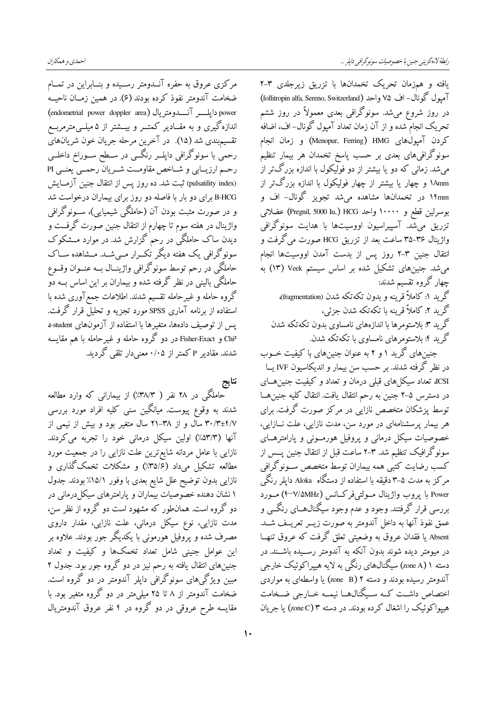مرکزی عروق به حفره آنــدومتر رســیده و بنــابراین در تمــام ضخامت آندومتر نفوذ کرده بودند (۶) در همین زمــان ناحیــه power دايلــــر آنـــــدومتريال (endometrial power doppler area) اندازهگیری و به مقــادیر کمتــر و بیـــشتر از ۵ میلــی،مترمربــع تقسیمبندی شد (۱۵). در آخرین مرحله جریان خون شریانهای رحمیٰ با سونوگرافی دایلــر رنگــی در ســطح ســوراخ داخلــی رحـم ارزيــابي و شــاخص مقاومــت شــريان رحمــي يعنــي PI (pulsatility index) ثبت شد. ده روز يس از انتقال جنين آزمــايش B-HCG برای دو بار با فاصله دو روز برای پیماران درخواست شد و در صورت مثبت بودن آن (حاملگی شیمیایی)، ســونوگرافی واژینال در هفته سوم تا چهارم از انتقال جنین صورت گرفــت و دیدن ساک حاملگی در رحم گزارش شد. در موارد مــشکوک سونوگرافی یک هفته دیگر تک رار مے شــد. مــشاهده ســاک حاملگی در رحم توسط سونوگرافی واژینــال بــه عنــوان وقــوع حاملگی بالینی دٰر نظر گرفته شده و بیماران بر این اساس بــه دو گروه حامله و غیرحامله تقسیم شدند. اطلاعات جمع آوری شده با استفاده از برنامه آماری SPSS مورد تجزیه و تحلیل قرار گرفت. يس از توصيف دادهها، متغيرها با استفاده از آزمونهاي student، Chi<sup>2</sup> و Fisher-Exact در دو گروه حامله و غیرحامله با هم مقایسه شدند. مقادیر P کمتر از ۰/۰۵ معنیدار تلقی گردید.

نتايج

حاملگی در ۲۸ نفر ( ۳۸/۳٪) از بیمارانی که وارد مطالعه شدند به وقوع پیوست. میانگین سنی کلیه افراد مورد بررسی ۳۰/۳±۴/۷ ساّل و از ۳۸–۲۱ سال متغیر بود و بیش از نیمی از آنها (۵۳/۳٪) اولین سیکل درمانی خود را تجربه میکردند. نازایی با عامل مردانه شایع ترین علت نازایی را در جمعیت مورد مطالعه تشکیل میداد (۳۵/۶٪) و مشکلات تخمک گذاری و نازایی بدون توضیح علل شایع بعدی با وفور ۱۵/۱٪ بودند. جدول ۱ نشان دهنده خصوصیات بیماران و پارامترهای سیکلدرمانی در دو گروه است. همانطور که مشهود است دو گروه از نظر سن، مدت نازایی، نوع سیکل درمانی، علت نازایی، مقدار داروی مصرف شده و پرّوفیل هورمونی با یکدیگر جور بودند. علاوه بر این عوامل جنینی شامل تعداد تخمکها و کیفیت و تعداد جنینهای انتقال یافته به رحم نیز در دو گروه جور بود. جدول ۲ مبین ویژگیهای سونوگرافی دایلر آندومتر در دو گروه است. ضخامت آندومتر از ۸ تا ۲۵ میلم متر در دو گروه متغیر بود. با مقایسه طرح عروقی در دو گروه در ۴ نفر عروق آندومتریال

یافته و همزمان تحریک تخمدانها با تزریق زیرجلدی ۳-۲ آمپول گونال- اف ۷۵ واحد (follitropin alfa, Sereno, Switzerland) در روز شروع میشد. سونوگرافی بعدی معمولاً در روز ششم تحریک انجام شده و از آن زمان تعداد آمیول گونال-اف، اضافه كردن آميولُهاي Menopur, Ferring) HMG) و زمان انجام سونوگرافیهای بعدی بر حسب پاسخ تخمدان هر بیمار تنظیم می شد. زمانی که دو یا بیشتر از دو فولیکول با اندازه بزرگ تر از ۱۸mm و چهار یا بیشتر از چهار فولیکول با اندازه بزرگتر از ۱۴mm در تخمدانها مشاهده می شد تجویز گونال- اف و بوسرلین قطع و ۱۰۰۰۰ واحد HCG (Pregnil, 5000 Iu,) عضلاتی تزریق می،شد. آسییراسیون اووسیتها با هدایت سونوگرافی واژینال ۳۵–۳۵ ساعت بعد از تزریق HCG صورت می گرفت و انتقال جنین ۳-۲ روز پس از بدست آمدن اووسیتها انجام میشد. جنینهای تشکیل شده بر اساس سیستم Veek (۱۳) به چهار گروه تقسیم شدند: گر بد ۱: کاملاً قرینه و بدون تکهتکه شدن (fragmentation)،

گرید ۲: کاملاً قرینه با تکهتکه شدن جزئی، گر ید ۳: بلاستومر ها با اندازههای نامساوی بدون تکهتکه شدن گرید ۴: بلاستومرهای نامساوی با تکهتکه شدن.

جنینهای گرید ۱ و ۲ به عنوان جنینهای با کیفیت خــوب در نظر گرفته شدند. بر حسب سن بیمار و اندیکاسیون IVF یــا ICSI، تعداد سیکل های قبلی درمان و تعداد و کیفیت جنین هــای در دسترس ۵-۲ جنین به رحم انتقال یافت. انتقال کلیه جنین هــا توسط پزشکان متخصص نازایی در مرکز صورت گرفت. برای هر بیمار پرسشنامهای در مورد سن، مدت نازایی، علت نسازایی، خصوصیات سیکل درمانی و پروفیل هورمـونی و پارامترهــای سونوگرافیک تنظیم شد. ۳-۲ ساعت قبل از انتقال جنین پــس از كسب رضايت كتبي همه بيماران توسط متخصص ســونوگرافي مرکز به مدت ۵–۳ دقیقه با استفاده از دستگاه Aloka دایلر رنگی Power با پروب واژينال مولتيفركانس (WAMHz+) مورد بررسی قرار گرفتند. وجود و عدم وجود سیگنال،هــای رنگـــی و عمق نفوذ آنها به داخل آندومتر به صورت زیــر تعریــف شــد. Absent یا فقدان عروق به وضعیتی تعلق گرفت که عروق تنهـا در مبومتر دیده شوند بدون آنکه به آندومتر رســبده باشــند. در دسته ۱ (zone A) سیگنالهای رنگی به لایه هیپراکوئیک خارجی آندومتر رسیده بودند و دسته ۲ (zone B) یا واسطهای به مواردی اختصاص داشت کـه سـیگنال۱هـا نیمـه خــارجی ضــخامت هیپواکوئیک را اشغال کر ده بودند. در دسته ۳ (zone C) یا جریان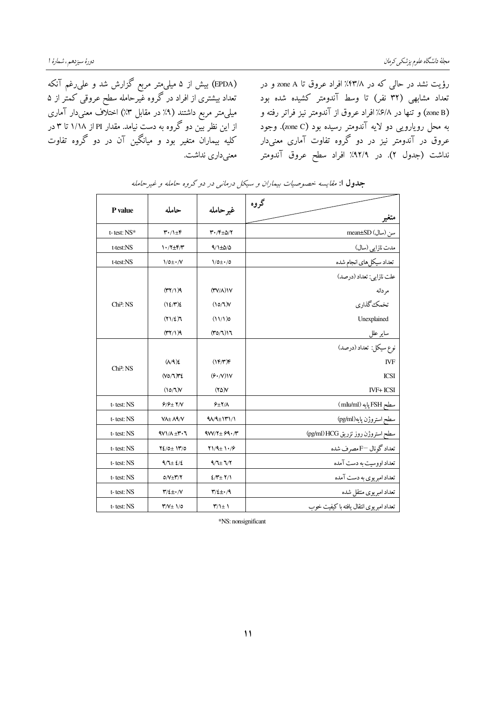(EPDA) بیش از ۵ میلیمتر مربع گزارش شد و علیرغم آنکه تعداد بیشتری از افراد در گروه غیرحامله سطح عروقی کمتٰر از ۵ میلی متر مربع داشتند (۹٪ در مقابل ۳٪) اختلاف معنیدار آماری از این نظر بین دو گروه به دست نیامد. مقدار PI از ۱/۱۸ تا ۳ در کلیه بیماران متغیر بود و میانگین آن در دو گروه تفاوت معنی داری نداشت.

رؤیت نشد در حالی که در ۴۳/۸٪ افراد عروق تا zone A و در تعداد مشابهی (۳۲ نفر) تا وسط آندومتر کشیده شده بود (zone B) و تنها در ۶/۸٪ افراد عروق از آندومتر نیز فراتر رفته و به محل رویارویی دو لایه آندومتر رسیده بود (zone C). وجود عروق در آندومتر نیز در دو گروه تفاوت آماری معنیدار نداشت (جدول ۲). در ۹۲/۹٪ افراد سطح عروق آندومتر

|                       |                                                |                                                     | گروه                                   |  |
|-----------------------|------------------------------------------------|-----------------------------------------------------|----------------------------------------|--|
| P value               | حامله                                          | غير حامله                                           | متغير                                  |  |
| $t$ - test: $NS^*$    | $\mathbf{r} \cdot / \mathbf{1} \pm \mathbf{F}$ | $\mathbf{r} \cdot \mathbf{r} \pm \Delta/\mathbf{r}$ | سن (سال) mean±SD                       |  |
| t-test:NS             | $1.77 \pm 6.7$                                 | $9/1 \pm 0/0$                                       | مدت نازایی (سال)                       |  |
| t-test:NS             | $1/0 \pm \cdot N$                              | $1/0 \pm 1/0$                                       | تعداد سيكل هاي انجام شده               |  |
|                       |                                                |                                                     | علت نازايي: تعداد (درصد)               |  |
|                       | (177)                                          | $(\Upsilon V/\Lambda)$                              | مر دانه                                |  |
| Chi <sup>2</sup> : NS | $(12/\mathcal{N})$                             | (10/7)                                              | تخمک گذاری                             |  |
|                       | $(Y \setminus \{E\})$                          | (11/1)a                                             | Unexplained                            |  |
|                       | $(\uparrow \uparrow / \uparrow )$ ٩            | (T0/7)17                                            | ساير علل                               |  |
|                       |                                                |                                                     | نوع سيكل: تعداد (درصد)                 |  |
|                       | $(\Lambda/\mathfrak{A})\mathfrak{L}$           | (1F/T)F                                             | <b>IVF</b>                             |  |
| Chi <sup>2</sup> : NS | $(VO/T)$ ٣٤                                    | $(F \cdot N)$                                       | <b>ICSI</b>                            |  |
|                       | (10/7)                                         | $(Y\Delta)V$                                        | <b>IVF+ ICSI</b>                       |  |
| t-test: NS            | $9/9 \pm 1/1$                                  | $9\pm7/\Lambda$                                     | سطح FSH پایه (mIu/ml)                  |  |
| t-test: NS            | VA±AA/V                                        | $40/4 \pm 141/1$                                    | سطح استروژن پايه(pg/ml)                |  |
| t-test: NS            | $4V1/A + Y \cdot 7$                            | $9W/Y + 99Y'$                                       | سطح استروژن روز تزریق pg/ml) HCG)      |  |
| t-test: NS            | $Y_{2}/0 \pm 11/0$                             | $Y1/9 \pm 1.79$                                     | تعداد گونال =Fمصرف شده                 |  |
| t-test: NS            | $9/1 \pm 2/2$                                  | $9/1 \pm 1/7$                                       | تعداد اووسیت به دست آمده               |  |
| t-test: NS            | $0/\sqrt{\pm 1/\pi}$                           | $2/\tau$ + $\tau$                                   | تعداد امبریوی به دست آمده              |  |
| t-test: NS            | $\Upsilon/\xi \pm \cdot /V$                    | $\mathbf{r}/\mathbf{z} \pm \mathbf{v}/\mathbf{q}$   | تعداد امبريوى منتقل شده                |  |
| t-test: NS            | $Y/V \pm 1/0$                                  | $\Upsilon/\Upsilon$                                 | تعداد امبريوى انتقال يافته باكيفيت خوب |  |

جدول ا: مقايسه خصوصيات بيماران و سيكل درماني در دو گروه حامله و غيرحامله

\*NS: nonsignificant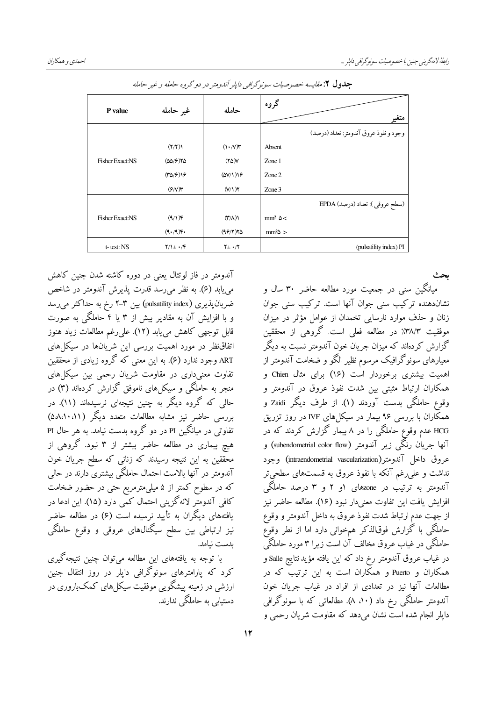| متغير                                  | گروه             | حامله                              | غير حامله                                    | P value                |
|----------------------------------------|------------------|------------------------------------|----------------------------------------------|------------------------|
| وجود و نفوذ عروق آندومتر: تعداد (درصد) |                  |                                    |                                              |                        |
|                                        | Absent           | $(1 \cdot N)^{n}$                  | (Y/Y)                                        |                        |
|                                        | Zone 1           | $(Y\Delta)Y$                       | $(\Delta\Delta/\mathcal{F})\mathsf{Y}\Delta$ | <b>Fisher Exact:NS</b> |
|                                        | $Z$ one $2$      | (0V/1)                             | (70/9)                                       |                        |
|                                        | Zone 3           | (Y/1)Y                             | $(\mathcal{F}/V)$ ۳                          |                        |
| (سطح عروقي ): تعداد (درصد) EPDA        |                  |                                    |                                              |                        |
|                                        | $mm^2 \Delta$    | $(\mathsf{t}^{\prime}/\mathsf{t})$ | $(9/1)$ F                                    | <b>Fisher Exact:NS</b> |
|                                        | $mm2$ $\Delta$ > | (99/7)70                           | (9.49)                                       |                        |
| (pulsatility index) PI                 |                  | $Y_{\pm}$ $\cdot$ / $Y$            | $Y/\sqrt{\pm} \cdot$                         | t-test: NS             |

جلدول ۲: مقايسه خصوصيات سونوگرافي دايلر آندومتر در دو گروه حامله و غير حامله

آندومتر در فاز لوتئال یعنی در دوره کاشته شدن جنین کاهش می یابد (۶). به نظر می رسد قدرت پذیرش آندومتر در شاخص ضربان پذیری (pulsatility index) بین ۳-۲ رخ به حداکثر می رسد و با افزایش آن به مقادیر بیش از ۳ یا ۴ حاملگی به صورت قابل توجهي كاهش مي يابد (١٢). على رغم مطالعات زياد هنوز اتفاق نظر در مورد اهمیت بررسی این شریانها در سیکلهای ART وجود ندارد (۶). به این معنی که گروه زیادی از محققین تفاوت معنیداری در مقاومت شریان رحمی بین سیکل های منجر به حاملگی و سیکل های ناموفق گزارش کردهاند (۳) در حالی که گروه دیگر به چنین نتیجهای نرسیدهاند (۱۱). در بررسی حاضر نیز مشابه مطالعات متعدد دیگر (۵۸،۱۰،۱۱) تفاوتی در میانگین PI در دو گروه بدست نیامد. به هر حال PI هیچ بیماری در مطالعه حاضر بیشتر از ۳ نبود. گروهی از محققین به این نتیجه رسیدند که زنانی که سطح جریان خون آندومتر در آنها بالاست احتمال حاملگی بیشتری دارند در حالی که در سطوح کمتر از ۵ میلی،مترمربع حتی در حضور ضخامت كافي آندومتر لانه گزينې احتمال كمبي دارد (١۵). اين ادعا در یافتههای دیگران به تأیید نرسیده است (۶) در مطالعه حاضر نیز ارتباطی بین سطح سیگنالهای عروقی و وقوع حاملگی ىدست نيامد.

با توجه به یافتههای این مطالعه میتوان چنین نتیجه گیری کرد که یارامترهای سونوگرافی داپلر در روز انتقال جنین ارزشی در زمینه پیشگویی موفقیت سیکل های کمکباروری در دستیابی به حاملگی ندارند.

میانگین سنی در جمعیت مورد مطالعه حاضر ۳۰ سال و نشاندهنده ترکیب سنی جوان آنها است. ترکیب سنی جوان زنان و حذف موارد نارسایی تخمدان از عوامل مؤثر در میزان موفقیت ۳۸/۳٪ در مطالعه فعلی است. گروهی از محققین گزارش کردهاند که میزان جریان خون آندومتر نسبت به دیگر معیارهای سونوگرافیک مرسوم نظیر الگو و ضخامت آندومتر از اهمیت بیشتری برخوردار است (۱۶) برای مثال Chien و همکاران ارتباط مثبتی بین شدت نفوذ عروق در آندومتر و وقوع حاملگی بدست آوردند (۱). از طرف دیگر Zaidi و همکاران با بررسی ۹۶ بیمار در سیکل های IVF در روز تزریق HCG عدم وقوع حاملگی را در ۸ بیمار گزارش کردند که در آنها جریان رنگی زیر آندومتر (subendometrial color flow) و عروق داخل آندومتر(intraendometrial vascularization) وجود نداشت و علم رغم آنکه با نفوذ عروق به قسمتهای سطحی تر آندومتر به ترتیب در zoneهای ۱و ۲ و ۳ درصد حاملگی افزايش يافت اين تفاوت معنى دار نبود (١۶). مطالعه حاضر نيز از جهت عدم ارتباط شدت نفوذ عروق به داخل آندومتر و وقوع حاملگی با گزارش فوقالذکر همخوانی دارد اما از نطر وقوع حاملگی در غیاب عروق مخالف آن است زیرا ۳ مورد حاملگی در غياب عروق آندومتر رخ داد كه اين يافته مؤيد نتايج Salle و همکاران و Puerto و همکاران است به این ترتیب که در مطالعات آنها نیز در تعدادی از افراد در غیاب جریان خون آندومتر حاملگی رخ داد (۱۰، ۸). مطالعاتی که با سونوگرافی دایلر انجام شده است نشان می دهد که مقاومت شریان رحمی و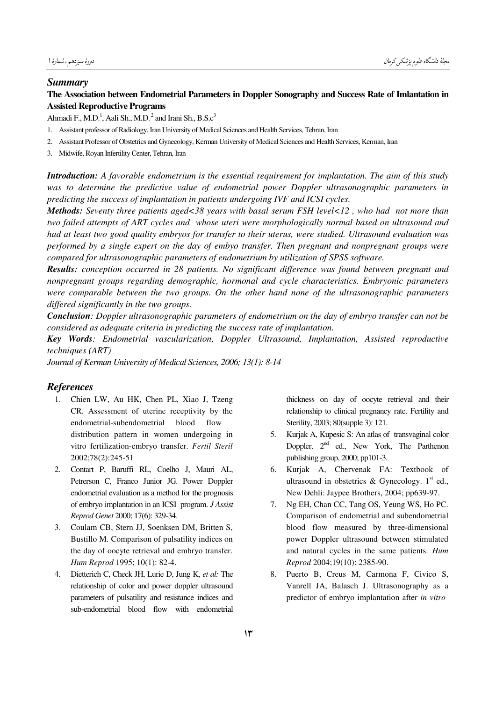#### *Summary*

### **The Association between Endometrial Parameters in Doppler Sonography and Success Rate of Imlantation in Assisted Reproductive Programs**

Ahmadi F., M.D.<sup>1</sup>, Aali Sh., M.D.<sup>2</sup> and Irani Sh., B.S.c<sup>3</sup>

- 1. Assistant professor of Radiology, Iran University of Medical Sciences and Health Services, Tehran, Iran
- 2. Assistant Professor of Obstetrics and Gynecology, Kerman University of Medical Sciences and Health Services, Kerman, Iran
- 3. Midwife, Royan Infertility Center, Tehran, Iran

*Introduction: A favorable endometrium is the essential requirement for implantation. The aim of this study was to determine the predictive value of endometrial power Doppler ultrasonographic parameters in predicting the success of implantation in patients undergoing IVF and ICSI cycles.* 

*Methods: Seventy three patients aged<38 years with basal serum FSH level<12 , who had not more than two failed attempts of ART cycles and whose uteri were morphologically normal based on ultrasound and had at least two good quality embryos for transfer to their uterus, were studied. Ultrasound evaluation was performed by a single expert on the day of embyo transfer. Then pregnant and nonpregnant groups were compared for ultrasonographic parameters of endometrium by utilization of SPSS software.* 

*Results: conception occurred in 28 patients. No significant difference was found between pregnant and nonpregnant groups regarding demographic, hormonal and cycle characteristics. Embryonic parameters were comparable between the two groups. On the other hand none of the ultrasonographic parameters differed significantly in the two groups.* 

*Conclusion: Doppler ultrasonographic parameters of endometrium on the day of embryo transfer can not be considered as adequate criteria in predicting the success rate of implantation.* 

*Key Words: Endometrial vascularization, Doppler Ultrasound, Implantation, Assisted reproductive techniques (ART)* 

*Journal of Kerman University of Medical Sciences, 2006; 13(1): 8-14*

#### *References*

- 1. Chien LW, Au HK, Chen PL, Xiao J, Tzeng CR. Assessment of uterine receptivity by the endometrial-subendometrial blood flow distribution pattern in women undergoing in vitro fertilization-embryo transfer. *Fertil Steril* 2002;78(2):245-51
- 2. Contart P, Baruffi RL, Coelho J, Mauri AL, Petrerson C, Franco Junior JG. Power Doppler endometrial evaluation as a method for the prognosis of embryo implantation in an ICSI program. *J Assist Reprod Genet* 2000; 17(6): 329-34.
- 3. Coulam CB, Stern JJ, Soenksen DM, Britten S, Bustillo M. Comparison of pulsatility indices on the day of oocyte retrieval and embryo transfer. *Hum Reprod* 1995; 10(1): 82-4.
- 4. Dietterich C, Check JH, Lurie D, Jung K, *et al:* The relationship of color and power doppler ultrasound parameters of pulsatility and resistance indices and sub-endometrial blood flow with endometrial

thickness on day of oocyte retrieval and their relationship to clinical pregnancy rate. Fertility and Sterility, 2003; 80(supple 3): 121.

- 5. Kurjak A, Kupesic S: An atlas of transvaginal color Doppler. 2<sup>nd</sup> ed., New York, The Parthenon publishing group, 2000; pp101-3.
- 6. Kurjak A, Chervenak FA: Textbook of ultrasound in obstetrics & Gynecology.  $1<sup>st</sup>$  ed., New Dehli: Jaypee Brothers, 2004; pp639-97.
- 7. Ng EH, Chan CC, Tang OS, Yeung WS, Ho PC. Comparison of endometrial and subendometrial blood flow measured by three-dimensional power Doppler ultrasound between stimulated and natural cycles in the same patients. *Hum Reprod* 2004;19(10): 2385-90.
- 8. Puerto B, Creus M, Carmona F, Civico S, Vanrell JA, Balasch J. Ultrasonography as a predictor of embryo implantation after *in vitro*